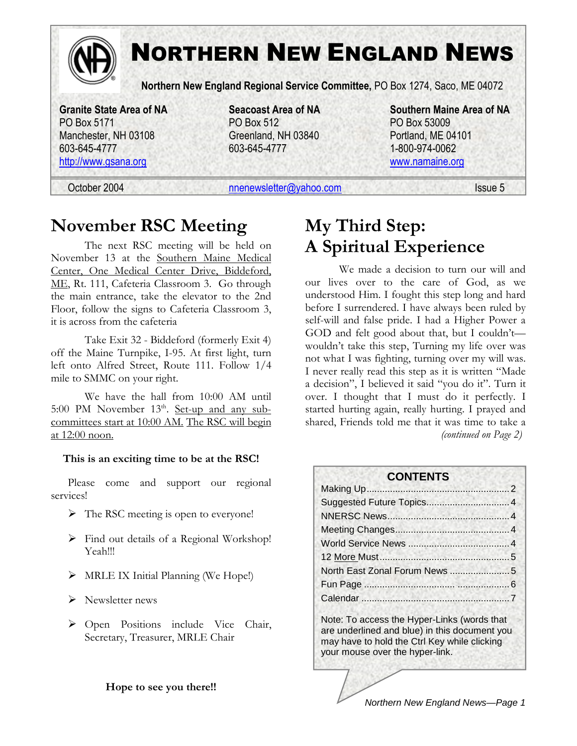

# NORTHERN NEW ENGLAND NEWS

**Northern New England Regional Service Committee,** PO Box 1274, Saco, ME 04072

PO Box 5171 PO Box 512 PO Box 53009 Manchester, NH 03108 Greenland, NH 03840 Portland, ME 04101 603-645-4777 603-645-4777 1-800-974-0062

**Granite State Area of NA Seacoast Area of NA Southern Maine Area of NA**  http://www.gsana.org www.namaine.org

October 2004 **nnenewsletter@yahoo.com** Issue 5

## **November RSC Meeting**

The next RSC meeting will be held on November 13 at the Southern Maine Medical Center, One Medical Center Drive, Biddeford, ME, Rt. 111, Cafeteria Classroom 3. Go through the main entrance, take the elevator to the 2nd Floor, follow the signs to Cafeteria Classroom 3, it is across from the cafeteria

Take Exit 32 - Biddeford (formerly Exit 4) off the Maine Turnpike, I-95. At first light, turn left onto Alfred Street, Route 111. Follow 1/4 mile to SMMC on your right.

We have the hall from 10:00 AM until 5:00 PM November  $13<sup>th</sup>$ . Set-up and any subcommittees start at 10:00 AM. The RSC will begin at 12:00 noon.

#### **This is an exciting time to be at the RSC!**

Please come and support our regional services!

- $\triangleright$  The RSC meeting is open to everyone!
- Find out details of a Regional Workshop! Yeah!!!
- $\triangleright$  MRLE IX Initial Planning (We Hope!)
- $\triangleright$  Newsletter news
- Open Positions include Vice Chair, Secretary, Treasurer, MRLE Chair

#### **Hope to see you there!!**

## **My Third Step: A Spiritual Experience**

We made a decision to turn our will and our lives over to the care of God, as we understood Him. I fought this step long and hard before I surrendered. I have always been ruled by self-will and false pride. I had a Higher Power a GOD and felt good about that, but I couldn'twouldn't take this step, Turning my life over was not what I was fighting, turning over my will was. I never really read this step as it is written "Made a decision", I believed it said "you do it". Turn it over. I thought that I must do it perfectly. I started hurting again, really hurting. I prayed and shared, Friends told me that it was time to take a *(continued on Page 2)* 

#### **CONTENTS**

Note: To access the Hyper-Links (words that are underlined and blue) in this document you may have to hold the Ctrl Key while clicking your mouse over the hyper-link.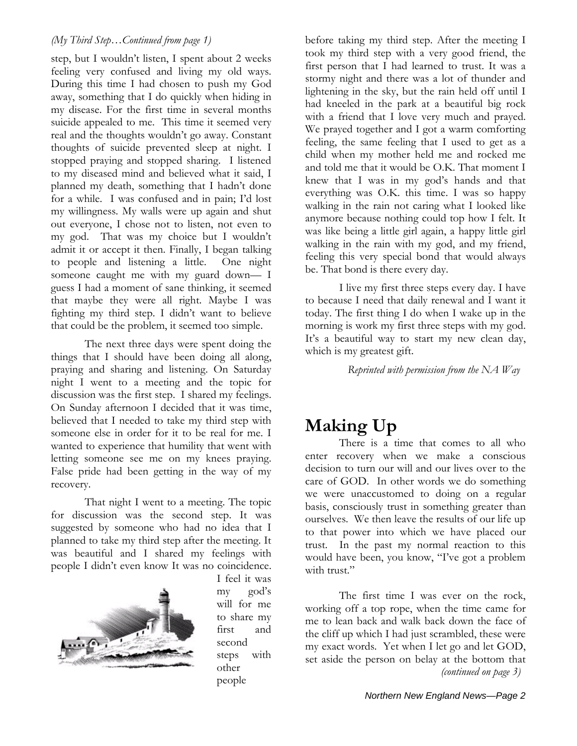#### *(My Third Step…Continued from page 1)*

step, but I wouldn't listen, I spent about 2 weeks feeling very confused and living my old ways. During this time I had chosen to push my God away, something that I do quickly when hiding in my disease. For the first time in several months suicide appealed to me. This time it seemed very real and the thoughts wouldn't go away. Constant thoughts of suicide prevented sleep at night. I stopped praying and stopped sharing. I listened to my diseased mind and believed what it said, I planned my death, something that I hadn't done for a while. I was confused and in pain; I'd lost my willingness. My walls were up again and shut out everyone, I chose not to listen, not even to my god. That was my choice but I wouldn't admit it or accept it then. Finally, I began talking to people and listening a little. One night someone caught me with my guard down— I guess I had a moment of sane thinking, it seemed that maybe they were all right. Maybe I was fighting my third step. I didn't want to believe that could be the problem, it seemed too simple.

The next three days were spent doing the things that I should have been doing all along, praying and sharing and listening. On Saturday night I went to a meeting and the topic for discussion was the first step. I shared my feelings. On Sunday afternoon I decided that it was time, believed that I needed to take my third step with someone else in order for it to be real for me. I wanted to experience that humility that went with letting someone see me on my knees praying. False pride had been getting in the way of my recovery.

That night I went to a meeting. The topic for discussion was the second step. It was suggested by someone who had no idea that I planned to take my third step after the meeting. It was beautiful and I shared my feelings with people I didn't even know It was no coincidence.



I feel it was my god's will for me to share my first and second steps with other people

before taking my third step. After the meeting I took my third step with a very good friend, the first person that I had learned to trust. It was a stormy night and there was a lot of thunder and lightening in the sky, but the rain held off until I had kneeled in the park at a beautiful big rock with a friend that I love very much and prayed. We prayed together and I got a warm comforting feeling, the same feeling that I used to get as a child when my mother held me and rocked me and told me that it would be O.K. That moment I knew that I was in my god's hands and that everything was O.K. this time. I was so happy walking in the rain not caring what I looked like anymore because nothing could top how I felt. It was like being a little girl again, a happy little girl walking in the rain with my god, and my friend, feeling this very special bond that would always be. That bond is there every day.

I live my first three steps every day. I have to because I need that daily renewal and I want it today. The first thing I do when I wake up in the morning is work my first three steps with my god. It's a beautiful way to start my new clean day, which is my greatest gift.

*Reprinted with permission from the NA Way* 

## **Making Up**

There is a time that comes to all who enter recovery when we make a conscious decision to turn our will and our lives over to the care of GOD. In other words we do something we were unaccustomed to doing on a regular basis, consciously trust in something greater than ourselves. We then leave the results of our life up to that power into which we have placed our trust. In the past my normal reaction to this would have been, you know, "I've got a problem with trust."

The first time I was ever on the rock, working off a top rope, when the time came for me to lean back and walk back down the face of the cliff up which I had just scrambled, these were my exact words. Yet when I let go and let GOD, set aside the person on belay at the bottom that *(continued on page 3)*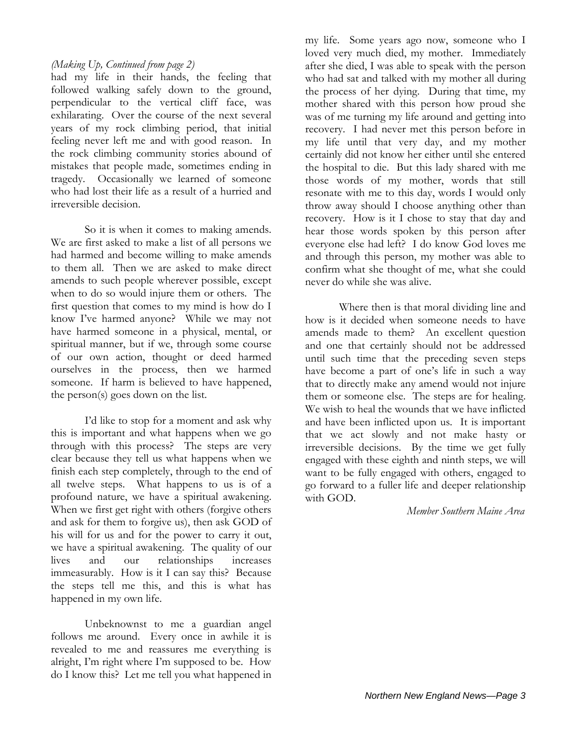#### *(Making Up, Continued from page 2)*

had my life in their hands, the feeling that followed walking safely down to the ground, perpendicular to the vertical cliff face, was exhilarating. Over the course of the next several years of my rock climbing period, that initial feeling never left me and with good reason. In the rock climbing community stories abound of mistakes that people made, sometimes ending in tragedy. Occasionally we learned of someone who had lost their life as a result of a hurried and irreversible decision.

So it is when it comes to making amends. We are first asked to make a list of all persons we had harmed and become willing to make amends to them all. Then we are asked to make direct amends to such people wherever possible, except when to do so would injure them or others. The first question that comes to my mind is how do I know I've harmed anyone? While we may not have harmed someone in a physical, mental, or spiritual manner, but if we, through some course of our own action, thought or deed harmed ourselves in the process, then we harmed someone. If harm is believed to have happened, the person(s) goes down on the list.

I'd like to stop for a moment and ask why this is important and what happens when we go through with this process? The steps are very clear because they tell us what happens when we finish each step completely, through to the end of all twelve steps. What happens to us is of a profound nature, we have a spiritual awakening. When we first get right with others (forgive others and ask for them to forgive us), then ask GOD of his will for us and for the power to carry it out, we have a spiritual awakening. The quality of our lives and our relationships increases immeasurably. How is it I can say this? Because the steps tell me this, and this is what has happened in my own life.

Unbeknownst to me a guardian angel follows me around. Every once in awhile it is revealed to me and reassures me everything is alright, I'm right where I'm supposed to be. How do I know this? Let me tell you what happened in

my life. Some years ago now, someone who I loved very much died, my mother. Immediately after she died, I was able to speak with the person who had sat and talked with my mother all during the process of her dying. During that time, my mother shared with this person how proud she was of me turning my life around and getting into recovery. I had never met this person before in my life until that very day, and my mother certainly did not know her either until she entered the hospital to die. But this lady shared with me those words of my mother, words that still resonate with me to this day, words I would only throw away should I choose anything other than recovery. How is it I chose to stay that day and hear those words spoken by this person after everyone else had left? I do know God loves me and through this person, my mother was able to confirm what she thought of me, what she could never do while she was alive.

Where then is that moral dividing line and how is it decided when someone needs to have amends made to them? An excellent question and one that certainly should not be addressed until such time that the preceding seven steps have become a part of one's life in such a way that to directly make any amend would not injure them or someone else. The steps are for healing. We wish to heal the wounds that we have inflicted and have been inflicted upon us. It is important that we act slowly and not make hasty or irreversible decisions. By the time we get fully engaged with these eighth and ninth steps, we will want to be fully engaged with others, engaged to go forward to a fuller life and deeper relationship with GOD.

*Member Southern Maine Area*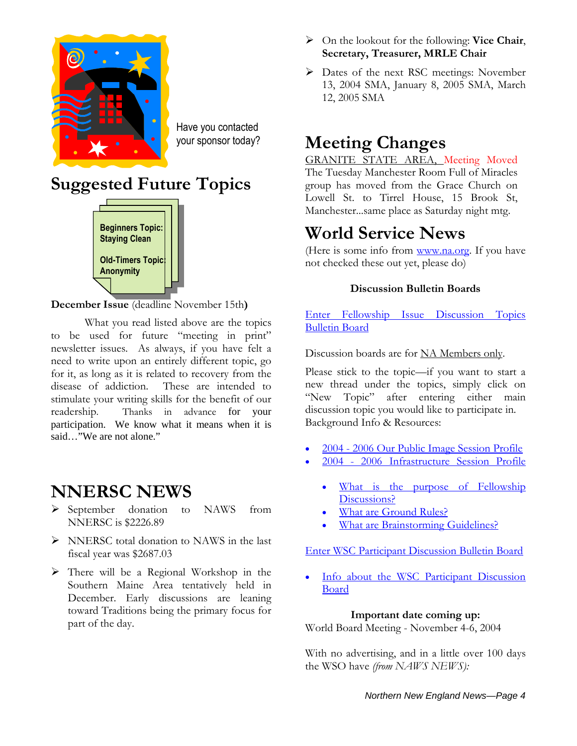

Have you contacted your sponsor today?

# **Suggested Future Topics**



**December Issue** (deadline November 15th**)** 

What you read listed above are the topics to be used for future "meeting in print" newsletter issues. As always, if you have felt a need to write upon an entirely different topic, go for it, as long as it is related to recovery from the disease of addiction. These are intended to stimulate your writing skills for the benefit of our readership. Thanks in advance for your participation. We know what it means when it is said…"We are not alone."

## **NNERSC NEWS**

- September donation to NAWS from NNERSC is \$2226.89
- $\triangleright$  NNERSC total donation to NAWS in the last fiscal year was \$2687.03
- $\triangleright$  There will be a Regional Workshop in the Southern Maine Area tentatively held in December. Early discussions are leaning toward Traditions being the primary focus for part of the day.
- On the lookout for the following: **Vice Chair**, **Secretary, Treasurer, MRLE Chair**
- Dates of the next RSC meetings: November 13, 2004 SMA, January 8, 2005 SMA, March 12, 2005 SMA

## **Meeting Changes**

GRANITE STATE AREA, Meeting Moved The Tuesday Manchester Room Full of Miracles group has moved from the Grace Church on Lowell St. to Tirrel House, 15 Brook St, Manchester...same place as Saturday night mtg.

# **World Service News**

(Here is some info from www.na.org. If you have not checked these out yet, please do)

#### **Discussion Bulletin Boards**

Enter Fellowship Issue Discussion Topics Bulletin Board

Discussion boards are for NA Members only.

Please stick to the topic—if you want to start a new thread under the topics, simply click on "New Topic" after entering either main discussion topic you would like to participate in. Background Info & Resources:

- 2004 2006 Our Public Image Session Profile
- 2004 2006 Infrastructure Session Profile
	- What is the purpose of Fellowship Discussions?
	- What are Ground Rules?
	- What are Brainstorming Guidelines?

#### Enter WSC Participant Discussion Bulletin Board

• Info about the WSC Participant Discussion Board

### **Important date coming up:**

World Board Meeting - November 4-6, 2004

With no advertising, and in a little over 100 days the WSO have *(from NAWS NEWS):*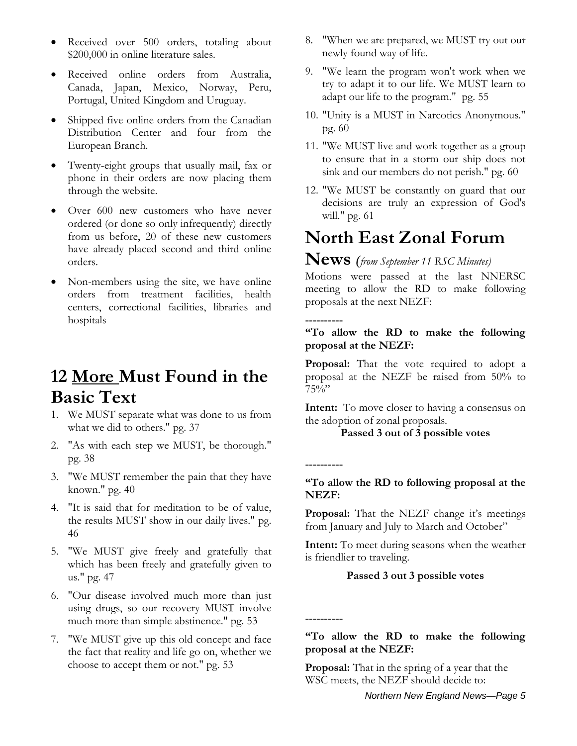- Received over 500 orders, totaling about \$200,000 in online literature sales.
- Received online orders from Australia, Canada, Japan, Mexico, Norway, Peru, Portugal, United Kingdom and Uruguay.
- Shipped five online orders from the Canadian Distribution Center and four from the European Branch.
- Twenty-eight groups that usually mail, fax or phone in their orders are now placing them through the website.
- Over 600 new customers who have never ordered (or done so only infrequently) directly from us before, 20 of these new customers have already placed second and third online orders.
- Non-members using the site, we have online orders from treatment facilities, health centers, correctional facilities, libraries and hospitals

## **12 More Must Found in the Basic Text**

- 1. We MUST separate what was done to us from what we did to others." pg. 37
- 2. "As with each step we MUST, be thorough." pg. 38
- 3. "We MUST remember the pain that they have known." pg. 40
- 4. "It is said that for meditation to be of value, the results MUST show in our daily lives." pg. 46
- 5. "We MUST give freely and gratefully that which has been freely and gratefully given to us." pg. 47
- 6. "Our disease involved much more than just using drugs, so our recovery MUST involve much more than simple abstinence." pg. 53
- 7. "We MUST give up this old concept and face the fact that reality and life go on, whether we choose to accept them or not." pg. 53
- 8. "When we are prepared, we MUST try out our newly found way of life.
- 9. "We learn the program won't work when we try to adapt it to our life. We MUST learn to adapt our life to the program." pg. 55
- 10. "Unity is a MUST in Narcotics Anonymous." pg. 60
- 11. "We MUST live and work together as a group to ensure that in a storm our ship does not sink and our members do not perish." pg. 60
- 12. "We MUST be constantly on guard that our decisions are truly an expression of God's will." pg. 61

# **North East Zonal Forum**

### **News** *(from September 11 RSC Minutes)*

Motions were passed at the last NNERSC meeting to allow the RD to make following proposals at the next NEZF:

**---------- "To allow the RD to make the following proposal at the NEZF:** 

**Proposal:** That the vote required to adopt a proposal at the NEZF be raised from 50% to 75%"

**Intent:** To move closer to having a consensus on the adoption of zonal proposals.

#### **Passed 3 out of 3 possible votes**

**"To allow the RD to following proposal at the NEZF:** 

**----------** 

**----------** 

**Proposal:** That the NEZF change it's meetings from January and July to March and October"

**Intent:** To meet during seasons when the weather is friendlier to traveling.

#### **Passed 3 out 3 possible votes**

**"To allow the RD to make the following proposal at the NEZF:** 

**Proposal:** That in the spring of a year that the WSC meets, the NEZF should decide to: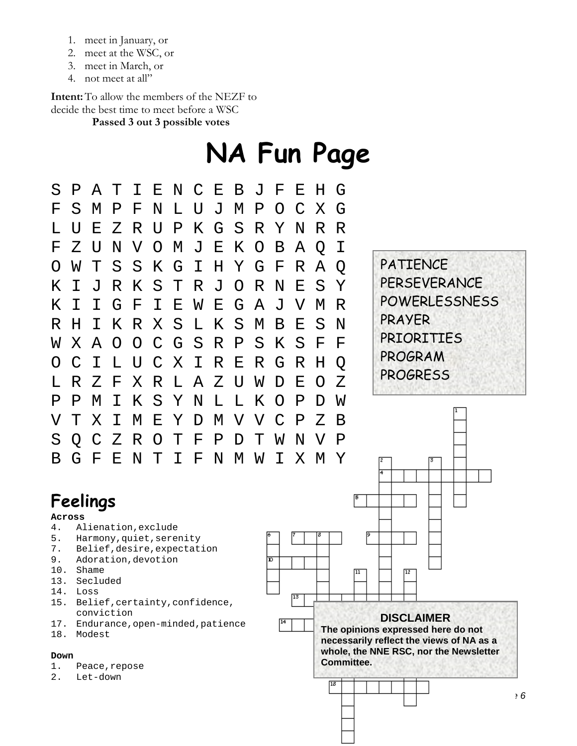- 1. meet in January, or
- 2. meet at the WSC, or
- 3. meet in March, or
- 4. not meet at all"

**Intent:** To allow the members of the NEZF to decide the best time to meet before a WSC

**Passed 3 out 3 possible votes** 

# **NA Fun Page**

| S                               | Ρ      | Α                                                  | Т | Ι                  | Ε             | N | $\mathcal{C}$ | Ε            | Β           | $\overline{J}$                                       | F                | Ε               | Η           | G                         |                 |                                                         |
|---------------------------------|--------|----------------------------------------------------|---|--------------------|---------------|---|---------------|--------------|-------------|------------------------------------------------------|------------------|-----------------|-------------|---------------------------|-----------------|---------------------------------------------------------|
| F                               | S      | М                                                  | Ρ | F                  | N             | L | ŢJ            | J            | М           | Ρ                                                    | Ω                | C               | Χ           | G                         |                 |                                                         |
| L                               | IJ     | Ε                                                  | Ζ | R                  | U             | Ρ | Κ             | G            | S           | R                                                    | Υ                | N               | R           | R                         |                 |                                                         |
| $\mathbf{F}$                    | Ζ      | U                                                  | N | V                  | O             | М | J             | Е            | Κ           | O                                                    | Β                | Α               | Q           | Ι                         |                 |                                                         |
| ( )                             | W      | т                                                  | S | S                  | Κ             | G | Ι             | Η            | Y           | G                                                    | F                | R               | Α           | Q                         |                 | <b>PATIENCE</b>                                         |
| Κ                               | Τ      | ιT                                                 | R | Κ                  | S             | Т | R             | J            | O           | R                                                    | N                | Ε               | S           | Υ                         |                 | PERSEVERANCE                                            |
| Κ                               | Ι      | Ι                                                  | G | $\mathbf{F}% _{0}$ | Ι             | Ε | W             | Е            | G           | Α                                                    | J                | V               | М           | R                         |                 | <b>POWERLESSNESS</b>                                    |
| R                               | Η      | Τ                                                  | Κ | R                  | Χ             | S | L             | Κ            | S           | M                                                    | Β                | Ε               | S           | N                         |                 | PRAYER                                                  |
| W                               | Χ      | A                                                  | O | O                  | $\mathcal{C}$ | G | S             | $\mathbb{R}$ | $\mathbf P$ | S                                                    | Κ                | S               | $\mathbf F$ | $\boldsymbol{\mathrm{F}}$ |                 | <b>PRIORITIES</b>                                       |
| ()                              | C      | Τ                                                  |   | U                  |               | Χ | Ι             | R            | Ε           | R                                                    | G                | R               | Η           | Q                         |                 | PROGRAM                                                 |
| Τı                              | R      | Ζ                                                  | F | Χ                  | R             | L | Α             | Ζ            | U           | W                                                    | D                | Ε               | O           | Z                         |                 | <b>PROGRESS</b>                                         |
| Ρ                               | Ρ      | М                                                  | Т | Κ                  | S             | Υ | Ν             | L            | L           | Κ                                                    | $\left( \right)$ | Ρ               | D           | W                         |                 |                                                         |
| V                               | Т      | Χ                                                  | Т | М                  | Ε             | Υ | D             | М            | V           | V                                                    |                  | Ρ               | Ζ           | Β                         |                 |                                                         |
| S                               | Q      | $\mathcal{C}$                                      | Ζ | R                  | O             | Τ | F             | Ρ            | D           | Т                                                    | W                | N               | V           | Ρ                         |                 |                                                         |
| Β                               | G      | $\mathbf{F}$                                       | Ε | N                  | Т             | Ι | F             | N            | М           | W                                                    | Ι                | Χ               | M           | Y                         |                 | 12<br>13.                                               |
|                                 |        |                                                    |   |                    |               |   |               |              |             |                                                      |                  |                 |             |                           |                 | 4                                                       |
|                                 |        | Feelings                                           |   |                    |               |   |               |              |             |                                                      |                  |                 |             |                           | IБ              |                                                         |
|                                 | Across |                                                    |   |                    |               |   |               |              |             |                                                      |                  |                 |             |                           |                 |                                                         |
| 4.<br>5.                        |        | Alienation, exclude<br>Harmony, quiet, serenity    |   |                    |               |   |               |              |             |                                                      |                  |                 | 18          |                           | 19              |                                                         |
| $7$ .<br>9.                     |        | Belief, desire, expectation<br>Adoration, devotion |   |                    |               |   |               |              |             |                                                      | D.               |                 |             |                           |                 |                                                         |
| 10.                             |        | Shame                                              |   |                    |               |   |               |              |             |                                                      |                  |                 |             |                           | $\overline{11}$ | $\overline{12}$                                         |
| 13.<br>14.                      |        | Secluded<br>Loss                                   |   |                    |               |   |               |              |             |                                                      |                  |                 |             |                           |                 |                                                         |
| 15.                             |        | Belief, certainty, confidence,                     |   |                    |               |   |               |              |             |                                                      |                  | $\overline{13}$ |             |                           |                 |                                                         |
| 17.                             |        | conviction<br>Endurance, open-minded, patience     |   |                    |               |   |               |              |             |                                                      |                  |                 |             |                           |                 | <b>DISCLAIMER</b><br>The opinions expressed here do not |
| 18.                             |        | Modest                                             |   |                    |               |   |               |              |             |                                                      |                  |                 |             |                           |                 | necessarily reflect the views of NA as a                |
| 1.                              | Down   |                                                    |   |                    |               |   |               |              |             | whole, the NNE RSC, nor the Newsletter<br>Committee. |                  |                 |             |                           |                 |                                                         |
| Peace, repose<br>2.<br>Let-down |        |                                                    |   |                    |               |   |               |              | 13          |                                                      |                  |                 |             |                           |                 |                                                         |
|                                 |        |                                                    |   |                    |               |   |               |              |             |                                                      |                  |                 |             |                           |                 | ,6                                                      |
|                                 |        |                                                    |   |                    |               |   |               |              |             |                                                      |                  |                 |             |                           |                 |                                                         |
|                                 |        |                                                    |   |                    |               |   |               |              |             |                                                      |                  |                 |             |                           |                 |                                                         |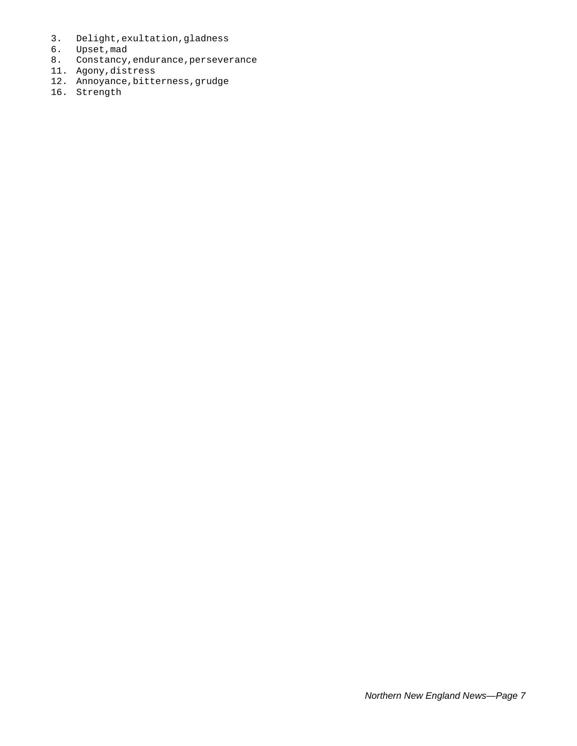- 3. Delight,exultation,gladness
- 6. Upset,mad
- 8. Constancy,endurance,perseverance
- 11. Agony,distress
- 12. Annoyance,bitterness,grudge
- 16. Strength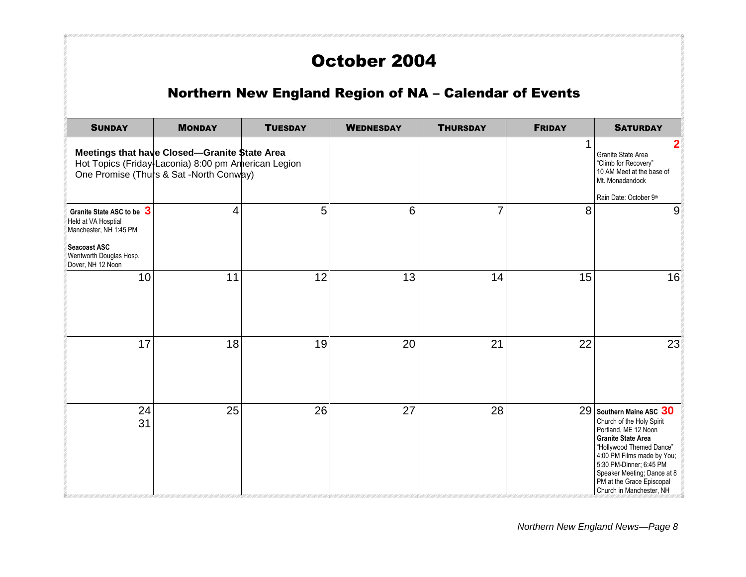## October 2004

## Northern New England Region of NA – Calendar of Events

| <b>SUNDAY</b>                                                                                                                              | <b>MONDAY</b>                                                                                                                                   | <b>TUESDAY</b> | <b>WEDNESDAY</b> | <b>THURSDAY</b> | <b>FRIDAY</b> | <b>SATURDAY</b>                                                                                                                                                                                                                                                                         |
|--------------------------------------------------------------------------------------------------------------------------------------------|-------------------------------------------------------------------------------------------------------------------------------------------------|----------------|------------------|-----------------|---------------|-----------------------------------------------------------------------------------------------------------------------------------------------------------------------------------------------------------------------------------------------------------------------------------------|
|                                                                                                                                            | Meetings that have Closed-Granite \$tate Area<br>Hot Topics (Friday-Laconia) 8:00 pm American Legion<br>One Promise (Thurs & Sat -North Conway) |                |                  |                 |               | 2<br>Granite State Area<br>"Climb for Recovery"<br>10 AM Meet at the base of<br>Mt. Monadandock<br>Rain Date: October 9th                                                                                                                                                               |
| Granite State ASC to be 3<br>Held at VA Hosptial<br>Manchester, NH 1:45 PM<br>Seacoast ASC<br>Wentworth Douglas Hosp.<br>Dover, NH 12 Noon | 4                                                                                                                                               | 5              | 6                | $\overline{7}$  | 8             | 9                                                                                                                                                                                                                                                                                       |
| 10                                                                                                                                         | 11                                                                                                                                              | 12             | 13               | 14              | 15            | 16                                                                                                                                                                                                                                                                                      |
| 17                                                                                                                                         | 18                                                                                                                                              | 19             | 20               | 21              | 22            | 23                                                                                                                                                                                                                                                                                      |
| 24<br>31                                                                                                                                   | 25                                                                                                                                              | 26             | 27               | 28              |               | 29 Southern Maine ASC 30<br>Church of the Holy Spirit<br>Portland, ME 12 Noon<br><b>Granite State Area</b><br>"Hollywood Themed Dance"<br>4:00 PM Films made by You;<br>5:30 PM-Dinner; 6:45 PM<br>Speaker Meeting; Dance at 8<br>PM at the Grace Episcopal<br>Church in Manchester, NH |